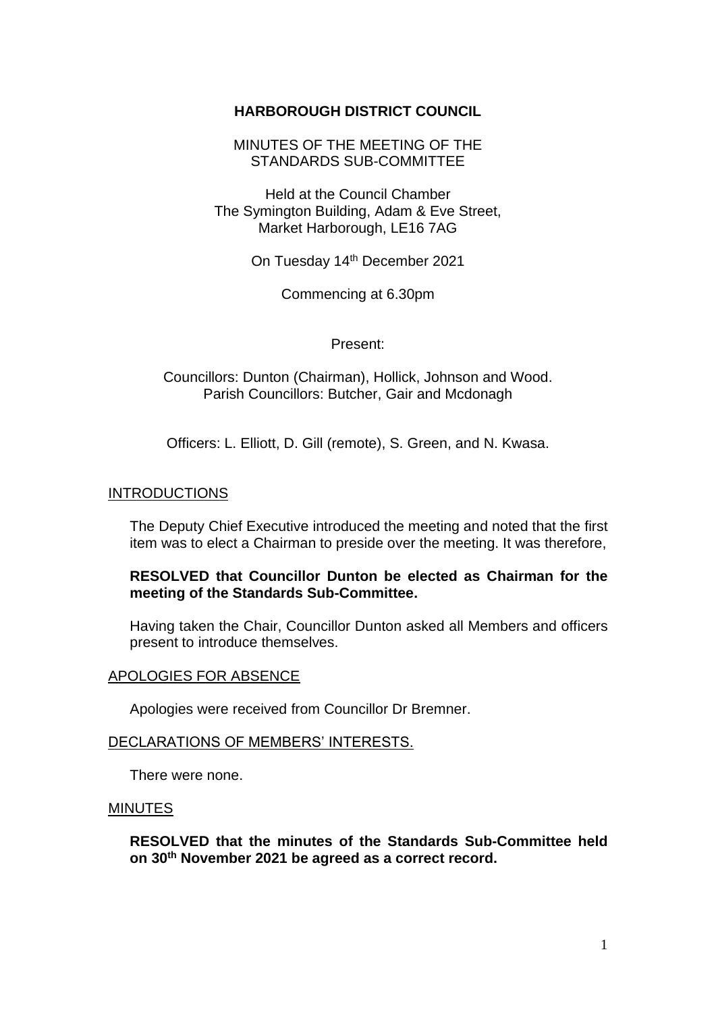# **HARBOROUGH DISTRICT COUNCIL**

MINUTES OF THE MEETING OF THE STANDARDS SUB-COMMITTEE

Held at the Council Chamber The Symington Building, Adam & Eve Street, Market Harborough, LE16 7AG

On Tuesday 14<sup>th</sup> December 2021

Commencing at 6.30pm

#### Present:

Councillors: Dunton (Chairman), Hollick, Johnson and Wood. Parish Councillors: Butcher, Gair and Mcdonagh

Officers: L. Elliott, D. Gill (remote), S. Green, and N. Kwasa.

#### INTRODUCTIONS

The Deputy Chief Executive introduced the meeting and noted that the first item was to elect a Chairman to preside over the meeting. It was therefore,

## **RESOLVED that Councillor Dunton be elected as Chairman for the meeting of the Standards Sub-Committee.**

Having taken the Chair, Councillor Dunton asked all Members and officers present to introduce themselves.

#### APOLOGIES FOR ABSENCE

Apologies were received from Councillor Dr Bremner.

### DECLARATIONS OF MEMBERS' INTERESTS.

There were none.

#### MINUTES

**RESOLVED that the minutes of the Standards Sub-Committee held on 30 th November 2021 be agreed as a correct record.**